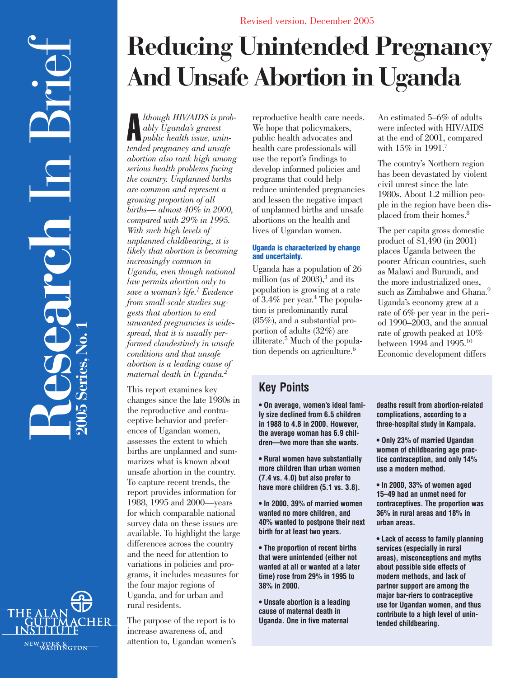

# **Reducing Unintended Pregnancy And Unsafe Abortion in Uganda**

A *lthough HIV/AIDS is probably Uganda's gravest public health issue, unintended pregnancy and unsafe abortion also rank high among serious health problems facing the country. Unplanned births are common and represent a growing proportion of all births— almost 40% in 2000, compared with 29% in 1995. With such high levels of unplanned childbearing, it is likely that abortion is becoming increasingly common in Uganda, even though national law permits abortion only to save a woman's life.1 Evidence from small-scale studies suggests that abortion to end unwanted pregnancies is widespread, that it is usually performed clandestinely in unsafe conditions and that unsafe abortion is a leading cause of maternal death in Uganda.2*

This report examines key changes since the late 1980s in the reproductive and contraceptive behavior and preferences of Ugandan women, assesses the extent to which births are unplanned and summarizes what is known about unsafe abortion in the country. To capture recent trends, the report provides information for 1988, 1995 and 2000—years for which comparable national survey data on these issues are available. To highlight the large differences across the country and the need for attention to variations in policies and programs, it includes measures for the four major regions of Uganda, and for urban and rural residents.

The purpose of the report is to increase awareness of, and attention to, Ugandan women's reproductive health care needs. We hope that policymakers, public health advocates and health care professionals will use the report's findings to develop informed policies and programs that could help reduce unintended pregnancies and lessen the negative impact of unplanned births and unsafe abortions on the health and lives of Ugandan women.

## **Uganda is characterized by change and uncertainty.**

Uganda has a population of 26 million (as of  $2003$ ),<sup>3</sup> and its population is growing at a rate of  $3.4\%$  per year.<sup>4</sup> The population is predominantly rural (85%), and a substantial proportion of adults (32%) are illiterate.5 Much of the population depends on agriculture.<sup>6</sup>

# **Key Points**

**• On average, women's ideal family size declined from 6.5 children in 1988 to 4.8 in 2000. However, the average woman has 6.9 children—two more than she wants.**

**• Rural women have substantially more children than urban women (7.4 vs. 4.0) but also prefer to have more children (5.1 vs. 3.8).**

**• In 2000, 39% of married women wanted no more children, and 40% wanted to postpone their next birth for at least two years.**

**• The proportion of recent births that were unintended (either not wanted at all or wanted at a later time) rose from 29% in 1995 to 38% in 2000.**

**• Unsafe abortion is a leading cause of maternal death in Uganda. One in five maternal**

An estimated 5–6% of adults were infected with HIV/AIDS at the end of 2001, compared with 15% in 1991.<sup>7</sup>

The country's Northern region has been devastated by violent civil unrest since the late 1980s. About 1.2 million people in the region have been displaced from their homes.8

The per capita gross domestic product of \$1,490 (in 2001) places Uganda between the poorer African countries, such as Malawi and Burundi, and the more industrialized ones, such as Zimbabwe and Ghana.<sup>9</sup> Uganda's economy grew at a rate of 6% per year in the period 1990–2003, and the annual rate of growth peaked at 10% between 1994 and 1995.10 Economic development differs

**deaths result from abortion-related complications, according to a three-hospital study in Kampala.**

**• Only 23% of married Ugandan women of childbearing age practice contraception, and only 14% use a modern method.**

**• In 2000, 33% of women aged 15–49 had an unmet need for contraceptives. The proportion was 36% in rural areas and 18% in urban areas.** 

**• Lack of access to family planning services (especially in rural areas), misconceptions and myths about possible side effects of modern methods, and lack of partner support are among the major bar-riers to contraceptive use for Ugandan women, and thus contribute to a high level of unintended childbearing.**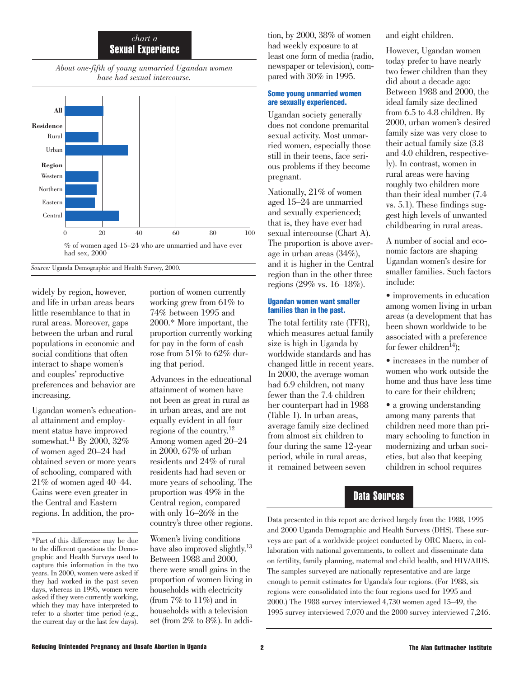## *chart a* Sexual Experience

*About one-fifth of young unmarried Ugandan women have had sexual intercourse.*



*Source:* Uganda Demographic and Health Survey, 2000.

widely by region, however, and life in urban areas bears little resemblance to that in rural areas. Moreover, gaps between the urban and rural populations in economic and social conditions that often interact to shape women's and couples' reproductive preferences and behavior are increasing.

Ugandan women's educational attainment and employment status have improved somewhat.<sup>11</sup> By 2000, 32% of women aged 20–24 had obtained seven or more years of schooling, compared with 21% of women aged 40–44. Gains were even greater in the Central and Eastern regions. In addition, the pro-

\*Part of this difference may be due to the different questions the Demographic and Health Surveys used to capture this information in the two years. In 2000, women were asked if they had worked in the past seven days, whereas in 1995, women were asked if they were currently working, which they may have interpreted to refer to a shorter time period (e.g., the current day or the last few days). portion of women currently working grew from 61% to 74% between 1995 and 2000.\* More important, the proportion currently working for pay in the form of cash rose from 51% to 62% during that period.

Advances in the educational attainment of women have not been as great in rural as in urban areas, and are not equally evident in all four regions of the country.12 Among women aged 20–24 in 2000, 67% of urban residents and 24% of rural residents had had seven or more years of schooling. The proportion was 49% in the Central region, compared with only 16–26% in the country's three other regions.

Women's living conditions have also improved slightly.<sup>13</sup> Between 1988 and 2000, there were small gains in the proportion of women living in households with electricity (from  $7\%$  to  $11\%$ ) and in households with a television set (from 2% to 8%). In addition, by 2000, 38% of women had weekly exposure to at least one form of media (radio, newspaper or television), compared with 30% in 1995.

#### **Some young unmarried women are sexually experienced.**

Ugandan society generally does not condone premarital sexual activity. Most unmarried women, especially those still in their teens, face serious problems if they become pregnant.

Nationally, 21% of women aged 15–24 are unmarried and sexually experienced; that is, they have ever had sexual intercourse (Chart A). The proportion is above average in urban areas (34%), and it is higher in the Central region than in the other three regions (29% vs. 16–18%).

### **Ugandan women want smaller families than in the past.**

The total fertility rate (TFR), which measures actual family size is high in Uganda by worldwide standards and has changed little in recent years. In 2000, the average woman had 6.9 children, not many fewer than the 7.4 children her counterpart had in 1988 (Table 1). In urban areas, average family size declined from almost six children to four during the same 12-year period, while in rural areas, it remained between seven

and eight children.

However, Ugandan women today prefer to have nearly two fewer children than they did about a decade ago: Between 1988 and 2000, the ideal family size declined from 6.5 to 4.8 children. By 2000, urban women's desired family size was very close to their actual family size (3.8 and 4.0 children, respectively). In contrast, women in rural areas were having roughly two children more than their ideal number (7.4 vs. 5.1). These findings suggest high levels of unwanted childbearing in rural areas.

A number of social and economic factors are shaping Ugandan women's desire for smaller families. Such factors include:

- improvements in education among women living in urban areas (a development that has been shown worldwide to be associated with a preference for fewer children<sup>14</sup>);
- increases in the number of women who work outside the home and thus have less time to care for their children;
- a growing understanding among many parents that children need more than primary schooling to function in modernizing and urban societies, but also that keeping children in school requires

# Data Sources

Data presented in this report are derived largely from the 1988, 1995 and 2000 Uganda Demographic and Health Surveys (DHS). These surveys are part of a worldwide project conducted by ORC Macro, in collaboration with national governments, to collect and disseminate data on fertility, family planning, maternal and child health, and HIV/AIDS. The samples surveyed are nationally representative and are large enough to permit estimates for Uganda's four regions. (For 1988, six regions were consolidated into the four regions used for 1995 and 2000.) The 1988 survey interviewed 4,730 women aged 15–49, the 1995 survey interviewed 7,070 and the 2000 survey interviewed 7,246.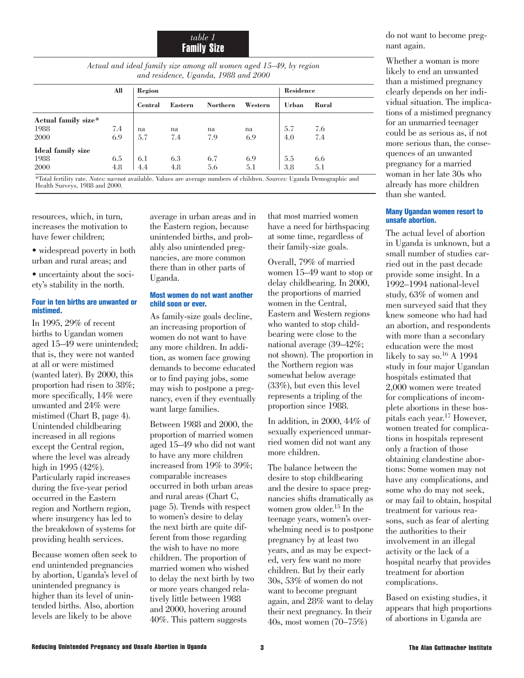*table 1* Family Size

*Actual and ideal family size among all women aged 15–49, by region and residence, Uganda, 1988 and 2000*

|                                                   | All                                 | Region          |         |                 |                       | Residence |          |  |
|---------------------------------------------------|-------------------------------------|-----------------|---------|-----------------|-----------------------|-----------|----------|--|
|                                                   |                                     | Central         | Eastern | <b>Northern</b> | Western               | Urban     | Rural    |  |
| Actual family size*                               |                                     |                 |         |                 |                       |           |          |  |
| 1988                                              | 7.4                                 | na              | na      | na              | na                    | 5.7       | 7.6      |  |
| 2000                                              | 6.9                                 | 5.7             | 7.4     | 7.9             | 6.9                   | 4.0       | 7.4      |  |
| Ideal family size                                 |                                     |                 |         |                 |                       |           |          |  |
| 1988                                              | 6.5                                 | 6.1             | 6.3     | 6.7             | 6.9                   | 5.5       | 6.6      |  |
| 2000                                              | 4.8                                 | 4.4             | 4.8     | 5.6             | 5.1                   | 3.8       | 5.1      |  |
| $A(111) = 1.00$ $A(111) = 1.000$ $A(111) = 1.000$ | the contract of the contract of the | $-1$ 1 1 $+7$ 1 |         |                 | $c \t1 \t1$<br>$\sim$ | TT I TY   | $\cdots$ |  |

\*Total fertility rate. *Notes:* na=not available. Values are average numbers of children. *Sources:* Uganda Demographic and Health Surveys, 1988 and 2000.

resources, which, in turn, increases the motivation to have fewer children;

- widespread poverty in both urban and rural areas; and
- uncertainty about the society's stability in the north.

#### **Four in ten births are unwanted or mistimed.**

In 1995, 29% of recent births to Ugandan women aged 15–49 were unintended; that is, they were not wanted at all or were mistimed (wanted later). By 2000, this proportion had risen to 38%; more specifically, 14% were unwanted and 24% were mistimed (Chart B, page 4). Unintended childbearing increased in all regions except the Central region, where the level was already high in 1995 (42%). Particularly rapid increases during the five-year period occurred in the Eastern region and Northern region, where insurgency has led to the breakdown of systems for providing health services.

Because women often seek to end unintended pregnancies by abortion, Uganda's level of unintended pregnancy is higher than its level of unintended births. Also, abortion levels are likely to be above

average in urban areas and in the Eastern region, because unintended births, and probably also unintended pregnancies, are more common there than in other parts of Uganda.

#### **Most women do not want another child soon or ever.**

As family-size goals decline, an increasing proportion of women do not want to have any more children. In addition, as women face growing demands to become educated or to find paying jobs, some may wish to postpone a pregnancy, even if they eventually want large families.

Between 1988 and 2000, the proportion of married women aged 15–49 who did not want to have any more children increased from 19% to 39%; comparable increases occurred in both urban areas and rural areas (Chart C, page 5). Trends with respect to women's desire to delay the next birth are quite different from those regarding the wish to have no more children. The proportion of married women who wished to delay the next birth by two or more years changed relatively little between 1988 and 2000, hovering around 40%. This pattern suggests

that most married women have a need for birthspacing at some time, regardless of their family-size goals.

Overall, 79% of married women 15–49 want to stop or delay childbearing. In 2000, the proportions of married women in the Central, Eastern and Western regions who wanted to stop childbearing were close to the national average (39–42%; not shown). The proportion in the Northern region was somewhat below average (33%), but even this level represents a tripling of the proportion since 1988.

In addition, in 2000, 44% of sexually experienced unmarried women did not want any more children.

The balance between the desire to stop childbearing and the desire to space pregnancies shifts dramatically as women grow older.15 In the teenage years, women's overwhelming need is to postpone pregnancy by at least two years, and as may be expected, very few want no more children. But by their early 30s, 53% of women do not want to become pregnant again, and 28% want to delay their next pregnancy. In their 40s, most women (70–75%)

do not want to become pregnant again.

Whether a woman is more likely to end an unwanted than a mistimed pregnancy clearly depends on her individual situation. The implications of a mistimed pregnancy for an unmarried teenager could be as serious as, if not more serious than, the consequences of an unwanted pregnancy for a married woman in her late 30s who already has more children than she wanted.

#### **Many Ugandan women resort to unsafe abortion.**

The actual level of abortion in Uganda is unknown, but a small number of studies carried out in the past decade provide some insight. In a 1992–1994 national-level study, 63% of women and men surveyed said that they knew someone who had had an abortion, and respondents with more than a secondary education were the most likely to say so.<sup>16</sup> A 1994 study in four major Ugandan hospitals estimated that 2,000 women were treated for complications of incomplete abortions in these hospitals each year.17 However, women treated for complications in hospitals represent only a fraction of those obtaining clandestine abortions: Some women may not have any complications, and some who do may not seek, or may fail to obtain, hospital treatment for various reasons, such as fear of alerting the authorities to their involvement in an illegal activity or the lack of a hospital nearby that provides treatment for abortion complications.

Based on existing studies, it appears that high proportions of abortions in Uganda are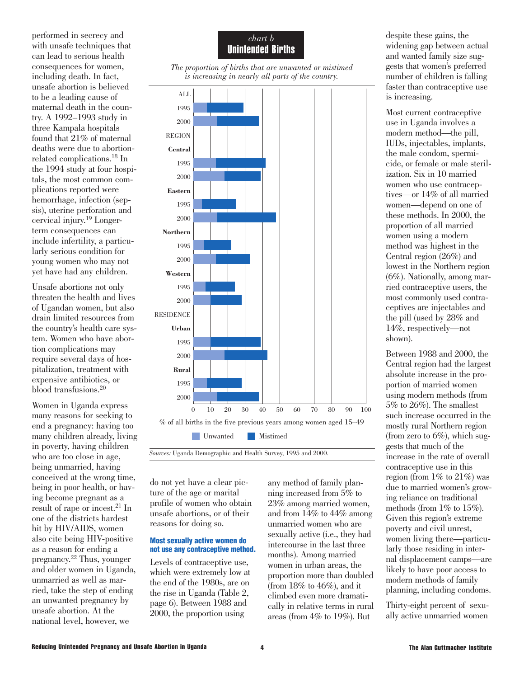performed in secrecy and with unsafe techniques that can lead to serious health consequences for women, including death. In fact, unsafe abortion is believed to be a leading cause of maternal death in the country. A 1992–1993 study in three Kampala hospitals found that 21% of maternal deaths were due to abortionrelated complications.18 In the 1994 study at four hospitals, the most common complications reported were hemorrhage, infection (sepsis), uterine perforation and cervical injury.19 Longerterm consequences can include infertility, a particularly serious condition for young women who may not yet have had any children.

Unsafe abortions not only threaten the health and lives of Ugandan women, but also drain limited resources from the country's health care system. Women who have abortion complications may require several days of hospitalization, treatment with expensive antibiotics, or blood transfusions.20

Women in Uganda express many reasons for seeking to end a pregnancy: having too many children already, living in poverty, having children who are too close in age, being unmarried, having conceived at the wrong time, being in poor health, or having become pregnant as a result of rape or incest.21 In one of the districts hardest hit by HIV/AIDS, women also cite being HIV-positive as a reason for ending a pregnancy.22 Thus, younger and older women in Uganda, unmarried as well as married, take the step of ending an unwanted pregnancy by unsafe abortion. At the national level, however, we

## *chart b* Unintended Births





*Sources:* Uganda Demographic and Health Survey, 1995 and 2000.

do not yet have a clear picture of the age or marital profile of women who obtain unsafe abortions, or of their reasons for doing so.

#### **Most sexually active women do not use any contraceptive method.**

Levels of contraceptive use, which were extremely low at the end of the 1980s, are on the rise in Uganda (Table 2, page 6). Between 1988 and 2000, the proportion using

any method of family planning increased from 5% to 23% among married women, and from 14% to 44% among unmarried women who are sexually active (i.e., they had intercourse in the last three months). Among married women in urban areas, the proportion more than doubled (from  $18\%$  to  $46\%$ ), and it climbed even more dramatically in relative terms in rural areas (from 4% to 19%). But

despite these gains, the widening gap between actual and wanted family size suggests that women's preferred number of children is falling faster than contraceptive use is increasing.

Most current contraceptive use in Uganda involves a modern method—the pill, IUDs, injectables, implants, the male condom, spermicide, or female or male sterilization. Six in 10 married women who use contraceptives—or 14% of all married women—depend on one of these methods. In 2000, the proportion of all married women using a modern method was highest in the Central region (26%) and lowest in the Northern region (6%). Nationally, among married contraceptive users, the most commonly used contraceptives are injectables and the pill (used by 28% and 14%, respectively—not shown).

Between 1988 and 2000, the Central region had the largest absolute increase in the proportion of married women using modern methods (from 5% to 26%). The smallest such increase occurred in the mostly rural Northern region (from zero to  $6\%$ ), which suggests that much of the increase in the rate of overall contraceptive use in this region (from  $1\%$  to  $21\%$ ) was due to married women's growing reliance on traditional methods (from  $1\%$  to  $15\%$ ). Given this region's extreme poverty and civil unrest, women living there—particularly those residing in internal displacement camps—are likely to have poor access to modern methods of family planning, including condoms.

Thirty-eight percent of sexually active unmarried women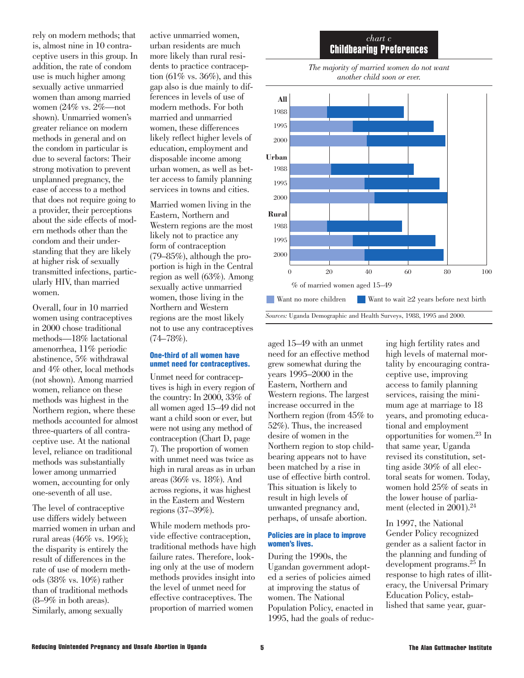rely on modern methods; that is, almost nine in 10 contraceptive users in this group. In addition, the rate of condom use is much higher among sexually active unmarried women than among married women (24% vs. 2%—not shown). Unmarried women's greater reliance on modern methods in general and on the condom in particular is due to several factors: Their strong motivation to prevent unplanned pregnancy, the ease of access to a method that does not require going to a provider, their perceptions about the side effects of modern methods other than the condom and their understanding that they are likely at higher risk of sexually transmitted infections, particularly HIV, than married women.

Overall, four in 10 married women using contraceptives in 2000 chose traditional methods—18% lactational amenorrhea, 11% periodic abstinence, 5% withdrawal and 4% other, local methods (not shown). Among married women, reliance on these methods was highest in the Northern region, where these methods accounted for almost three-quarters of all contraceptive use. At the national level, reliance on traditional methods was substantially lower among unmarried women, accounting for only one-seventh of all use.

The level of contraceptive use differs widely between married women in urban and rural areas (46% vs. 19%); the disparity is entirely the result of differences in the rate of use of modern methods (38% vs. 10%) rather than of traditional methods (8–9% in both areas). Similarly, among sexually

active unmarried women, urban residents are much more likely than rural residents to practice contraception  $(61\%$  vs.  $36\%$ ), and this gap also is due mainly to differences in levels of use of modern methods. For both married and unmarried women, these differences likely reflect higher levels of education, employment and disposable income among urban women, as well as better access to family planning services in towns and cities.

Married women living in the Eastern, Northern and Western regions are the most likely not to practice any form of contraception (79–85%), although the proportion is high in the Central region as well (63%). Among sexually active unmarried women, those living in the Northern and Western regions are the most likely not to use any contraceptives (74–78%).

#### **One-third of all women have unmet need for contraceptives.**

Unmet need for contraceptives is high in every region of the country: In 2000, 33% of all women aged 15–49 did not want a child soon or ever, but were not using any method of contraception (Chart D, page 7). The proportion of women with unmet need was twice as high in rural areas as in urban areas (36% vs. 18%). And across regions, it was highest in the Eastern and Western regions (37–39%).

While modern methods provide effective contraception, traditional methods have high failure rates. Therefore, looking only at the use of modern methods provides insight into the level of unmet need for effective contraceptives. The proportion of married women

## *chart c* Childbearing Preferences



*The majority of married women do not want another child soon or ever.*

aged 15–49 with an unmet need for an effective method grew somewhat during the years 1995–2000 in the Eastern, Northern and Western regions. The largest increase occurred in the Northern region (from 45% to 52%). Thus, the increased desire of women in the Northern region to stop childbearing appears not to have been matched by a rise in use of effective birth control. This situation is likely to result in high levels of unwanted pregnancy and, perhaps, of unsafe abortion.

#### **Policies are in place to improve women's lives.**

During the 1990s, the Ugandan government adopted a series of policies aimed at improving the status of women. The National Population Policy, enacted in 1995, had the goals of reducing high fertility rates and high levels of maternal mortality by encouraging contraceptive use, improving access to family planning services, raising the minimum age at marriage to 18 years, and promoting educational and employment opportunities for women.23 In that same year, Uganda revised its constitution, setting aside 30% of all electoral seats for women. Today, women hold 25% of seats in the lower house of parliament (elected in 2001).<sup>24</sup>

In 1997, the National Gender Policy recognized gender as a salient factor in the planning and funding of development programs.25 In response to high rates of illiteracy, the Universal Primary Education Policy, established that same year, guar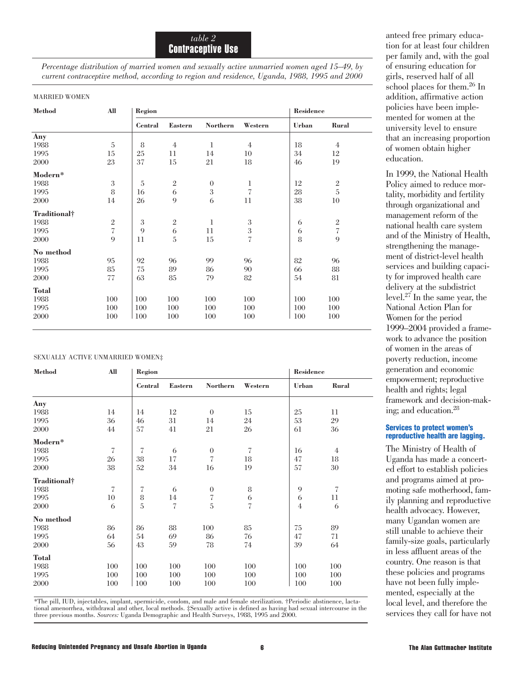*Percentage distribution of married women and sexually active unmarried women aged 15–49, by current contraceptive method, according to region and residence, Uganda, 1988, 1995 and 2000* 

#### MARRIED WOMEN

| <b>Method</b> | All                      | Region         |                |                 |                          | Residence    |                |
|---------------|--------------------------|----------------|----------------|-----------------|--------------------------|--------------|----------------|
|               |                          | <b>Central</b> | <b>Eastern</b> | <b>Northern</b> | Western                  | <b>Urban</b> | <b>Rural</b>   |
| Any           |                          |                |                |                 |                          |              |                |
| 1988          | 5                        | 8              | $\overline{4}$ | $\mathbf{1}$    | $\overline{4}$           | 18           | $\overline{4}$ |
| 1995          | 15                       | 25             | 11             | 14              | 10                       | 34           | 12             |
| 2000          | 23                       | 37             | 15             | 21              | 18                       | 46           | 19             |
| Modern*       |                          |                |                |                 |                          |              |                |
| 1988          | $\sqrt{3}$               | 5              | $\overline{2}$ | $\overline{0}$  | 1                        | 12           | $\sqrt{2}$     |
| 1995          | 8                        | 16             | 6              | 3               | $\overline{\mathcal{C}}$ | 28           | $\overline{5}$ |
| 2000          | 14                       | 26             | 9              | 6               | 11                       | $38\,$       | 10             |
| Traditional†  |                          |                |                |                 |                          |              |                |
| 1988          | $\,2$                    | 3              | $\mathbf{2}$   | $\mathbf{1}$    | 3                        | 6            | $\mathbf{2}$   |
| 1995          | $\overline{\mathcal{C}}$ | 9              | 6              | 11              | $\sqrt{3}$               | 6            | $\sqrt{ }$     |
| 2000          | $\mathbf Q$              | 11             | 5              | 15              | $\overline{\mathcal{C}}$ | 8            | 9              |
| No method     |                          |                |                |                 |                          |              |                |
| 1988          | 95                       | 92             | 96             | 99              | 96                       | 82           | 96             |
| 1995          | 85                       | 75             | 89             | 86              | 90                       | 66           | 88             |
| 2000          | 77                       | 63             | 85             | 79              | 82                       | 54           | 81             |
| <b>Total</b>  |                          |                |                |                 |                          |              |                |
| 1988          | 100                      | 100            | 100            | 100             | 100                      | 100          | 100            |
| 1995          | 100                      | 100            | 100            | 100             | 100                      | 100          | 100            |
| 2000          | 100                      | 100            | 100            | 100             | 100                      | 100          | 100            |

#### SEXUALLY ACTIVE UNMARRIED WOMEN‡

| <b>Method</b> | All | Region                   |                          |                 |                          | Residence      |                          |
|---------------|-----|--------------------------|--------------------------|-----------------|--------------------------|----------------|--------------------------|
|               |     | <b>Central</b>           | <b>Eastern</b>           | <b>Northern</b> | Western                  | <b>Urban</b>   | Rural                    |
| Any           |     |                          |                          |                 |                          |                |                          |
| 1988          | 14  | 14                       | 12                       | $\theta$        | 15                       | 25             | 11                       |
| 1995          | 36  | 46                       | 31                       | 14              | 24                       | 53             | 29                       |
| 2000          | 44  | 57                       | 41                       | 21              | 26                       | 61             | 36                       |
| Modern*       |     |                          |                          |                 |                          |                |                          |
| 1988          | 7   | 7                        | 6                        | $\theta$        | 7                        | 16             | 4                        |
| 1995          | 26  | 38                       | 17                       | 7               | 18                       | 47             | 18                       |
| 2000          | 38  | 52                       | 34                       | 16              | 19                       | 57             | 30                       |
| Traditional†  |     |                          |                          |                 |                          |                |                          |
| 1988          | 7   | $\overline{\mathcal{U}}$ | 6                        | $\mathbf{0}$    | 8                        | $\overline{Q}$ | $\overline{\mathcal{U}}$ |
| 1995          | 10  | 8                        | 14                       | $\sqrt{ }$      | 6                        | 6              | 11                       |
| 2000          | 6   | 5                        | $\overline{\mathcal{L}}$ | 5               | $\overline{\mathcal{L}}$ | $\overline{4}$ | 6                        |
| No method     |     |                          |                          |                 |                          |                |                          |
| 1988          | 86  | 86                       | 88                       | 100             | 85                       | 75             | 89                       |
| 1995          | 64  | 54                       | 69                       | 86              | 76                       | 47             | 71                       |
| 2000          | 56  | 43                       | 59                       | 78              | 74                       | 39             | 64                       |
| <b>Total</b>  |     |                          |                          |                 |                          |                |                          |
| 1988          | 100 | 100                      | 100                      | 100             | 100                      | 100            | 100                      |
| 1995          | 100 | 100                      | 100                      | 100             | 100                      | 100            | 100                      |
| 2000          | 100 | 100                      | 100                      | 100             | 100                      | 100            | 100                      |

\*The pill, IUD, injectables, implant, spermicide, condom, and male and female sterilization. †Periodic abstinence, lactational amenorrhea, withdrawal and other, local methods. ‡Sexually active is defined as having had sexual intercourse in the three previous months. *Sources:* Uganda Demographic and Health Surveys, 1988, 1995 and 2000.

anteed free primary education for at least four children per family and, with the goal of ensuring education for girls, reserved half of all school places for them.26 In addition, affirmative action policies have been implemented for women at the university level to ensure that an increasing proportion of women obtain higher education.

In 1999, the National Health Policy aimed to reduce mortality, morbidity and fertility through organizational and management reform of the national health care system and of the Ministry of Health, strengthening the management of district-level health services and building capacity for improved health care delivery at the subdistrict level.<sup>27</sup> In the same year, the National Action Plan for Women for the period 1999–2004 provided a framework to advance the position of women in the areas of poverty reduction, income generation and economic empowerment; reproductive health and rights; legal framework and decision-making; and education.<sup>28</sup>

#### **Services to protect women's reproductive health are lagging.**

The Ministry of Health of Uganda has made a concerted effort to establish policies and programs aimed at promoting safe motherhood, family planning and reproductive health advocacy. However, many Ugandan women are still unable to achieve their family-size goals, particularly in less affluent areas of the country. One reason is that these policies and programs have not been fully implemented, especially at the local level, and therefore the services they call for have not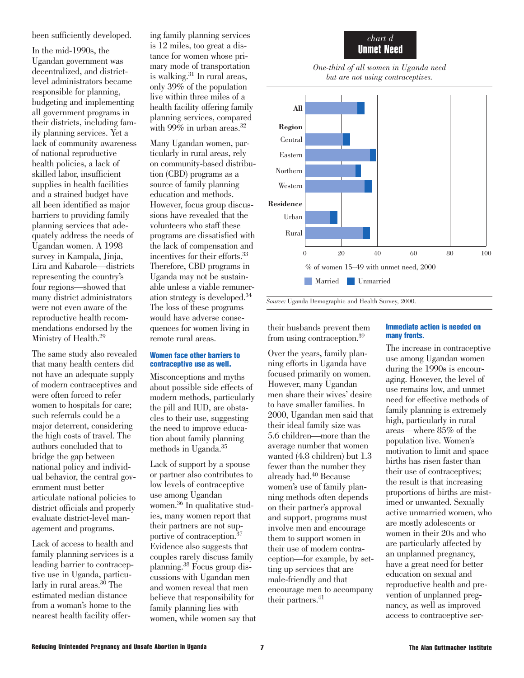been sufficiently developed.

In the mid-1990s, the Ugandan government was decentralized, and districtlevel administrators became responsible for planning, budgeting and implementing all government programs in their districts, including family planning services. Yet a lack of community awareness of national reproductive health policies, a lack of skilled labor, insufficient supplies in health facilities and a strained budget have all been identified as major barriers to providing family planning services that adequately address the needs of Ugandan women. A 1998 survey in Kampala, Jinja, Lira and Kabarole—districts representing the country's four regions—showed that many district administrators were not even aware of the reproductive health recommendations endorsed by the Ministry of Health.29

The same study also revealed that many health centers did not have an adequate supply of modern contraceptives and were often forced to refer women to hospitals for care; such referrals could be a major deterrent, considering the high costs of travel. The authors concluded that to bridge the gap between national policy and individual behavior, the central government must better articulate national policies to district officials and properly evaluate district-level management and programs.

Lack of access to health and family planning services is a leading barrier to contraceptive use in Uganda, particularly in rural areas.<sup>30</sup> The estimated median distance from a woman's home to the nearest health facility offering family planning services is 12 miles, too great a distance for women whose primary mode of transportation is walking.<sup>31</sup> In rural areas, only 39% of the population live within three miles of a health facility offering family planning services, compared with 99% in urban areas.<sup>32</sup>

Many Ugandan women, particularly in rural areas, rely on community-based distribution (CBD) programs as a source of family planning education and methods. However, focus group discussions have revealed that the volunteers who staff these programs are dissatisfied with the lack of compensation and incentives for their efforts.33 Therefore, CBD programs in Uganda may not be sustainable unless a viable remuneration strategy is developed.34 The loss of these programs would have adverse consequences for women living in remote rural areas.

#### **Women face other barriers to contraceptive use as well.**

Misconceptions and myths about possible side effects of modern methods, particularly the pill and IUD, are obstacles to their use, suggesting the need to improve education about family planning methods in Uganda.35

Lack of support by a spouse or partner also contributes to low levels of contraceptive use among Ugandan women.36 In qualitative studies, many women report that their partners are not supportive of contraception.37 Evidence also suggests that couples rarely discuss family planning.38 Focus group discussions with Ugandan men and women reveal that men believe that responsibility for family planning lies with women, while women say that







*Source:* Uganda Demographic and Health Survey, 2000.

their husbands prevent them from using contraception.39

Over the years, family planning efforts in Uganda have focused primarily on women. However, many Ugandan men share their wives' desire to have smaller families. In 2000, Ugandan men said that their ideal family size was 5.6 children—more than the average number that women wanted (4.8 children) but 1.3 fewer than the number they already had.40 Because women's use of family planning methods often depends on their partner's approval and support, programs must involve men and encourage them to support women in their use of modern contraception—for example, by setting up services that are male-friendly and that encourage men to accompany their partners.<sup>41</sup>

#### **Immediate action is needed on many fronts.**

The increase in contraceptive use among Ugandan women during the 1990s is encouraging. However, the level of use remains low, and unmet need for effective methods of family planning is extremely high, particularly in rural areas—where 85% of the population live. Women's motivation to limit and space births has risen faster than their use of contraceptives; the result is that increasing proportions of births are mistimed or unwanted. Sexually active unmarried women, who are mostly adolescents or women in their 20s and who are particularly affected by an unplanned pregnancy, have a great need for better education on sexual and reproductive health and prevention of unplanned pregnancy, as well as improved access to contraceptive ser